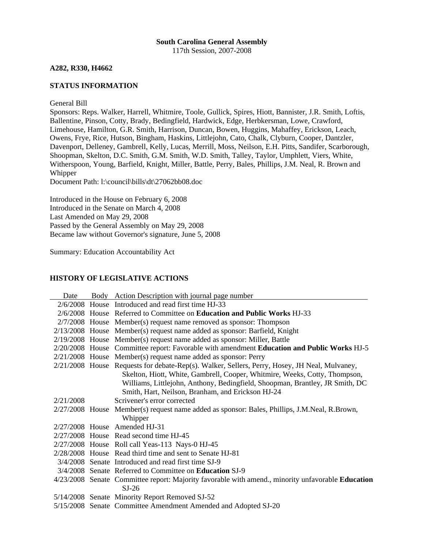## **South Carolina General Assembly** 117th Session, 2007-2008

**A282, R330, H4662** 

# **STATUS INFORMATION**

General Bill

Sponsors: Reps. Walker, Harrell, Whitmire, Toole, Gullick, Spires, Hiott, Bannister, J.R. Smith, Loftis, Ballentine, Pinson, Cotty, Brady, Bedingfield, Hardwick, Edge, Herbkersman, Lowe, Crawford, Limehouse, Hamilton, G.R. Smith, Harrison, Duncan, Bowen, Huggins, Mahaffey, Erickson, Leach, Owens, Frye, Rice, Hutson, Bingham, Haskins, Littlejohn, Cato, Chalk, Clyburn, Cooper, Dantzler, Davenport, Delleney, Gambrell, Kelly, Lucas, Merrill, Moss, Neilson, E.H. Pitts, Sandifer, Scarborough, Shoopman, Skelton, D.C. Smith, G.M. Smith, W.D. Smith, Talley, Taylor, Umphlett, Viers, White, Witherspoon, Young, Barfield, Knight, Miller, Battle, Perry, Bales, Phillips, J.M. Neal, R. Brown and Whipper

Document Path: l:\council\bills\dt\27062bb08.doc

Introduced in the House on February 6, 2008 Introduced in the Senate on March 4, 2008 Last Amended on May 29, 2008 Passed by the General Assembly on May 29, 2008 Became law without Governor's signature, June 5, 2008

Summary: Education Accountability Act

## **HISTORY OF LEGISLATIVE ACTIONS**

| Date      | Body Action Description with journal page number                                                  |
|-----------|---------------------------------------------------------------------------------------------------|
|           | 2/6/2008 House Introduced and read first time HJ-33                                               |
|           | 2/6/2008 House Referred to Committee on Education and Public Works HJ-33                          |
|           | $2/7/2008$ House Member(s) request name removed as sponsor: Thompson                              |
|           | $2/13/2008$ House Member(s) request name added as sponsor: Barfield, Knight                       |
|           | $2/19/2008$ House Member(s) request name added as sponsor: Miller, Battle                         |
|           | 2/20/2008 House Committee report: Favorable with amendment Education and Public Works HJ-5        |
|           | $2/21/2008$ House Member(s) request name added as sponsor: Perry                                  |
|           | 2/21/2008 House Requests for debate-Rep(s). Walker, Sellers, Perry, Hosey, JH Neal, Mulvaney,     |
|           | Skelton, Hiott, White, Gambrell, Cooper, Whitmire, Weeks, Cotty, Thompson,                        |
|           | Williams, Littlejohn, Anthony, Bedingfield, Shoopman, Brantley, JR Smith, DC                      |
|           | Smith, Hart, Neilson, Branham, and Erickson HJ-24                                                 |
| 2/21/2008 | Scrivener's error corrected                                                                       |
|           | 2/27/2008 House Member(s) request name added as sponsor: Bales, Phillips, J.M.Neal, R.Brown,      |
|           | Whipper                                                                                           |
|           | 2/27/2008 House Amended HJ-31                                                                     |
|           | $2/27/2008$ House Read second time HJ-45                                                          |
|           | 2/27/2008 House Roll call Yeas-113 Nays-0 HJ-45                                                   |
|           | 2/28/2008 House Read third time and sent to Senate HJ-81                                          |
|           | 3/4/2008 Senate Introduced and read first time SJ-9                                               |
|           | 3/4/2008 Senate Referred to Committee on Education SJ-9                                           |
|           | 4/23/2008 Senate Committee report: Majority favorable with amend., minority unfavorable Education |
|           | $SI-26$                                                                                           |
|           | 5/14/2008 Senate Minority Report Removed SJ-52                                                    |
|           | 5/15/2008 Senate Committee Amendment Amended and Adopted SJ-20                                    |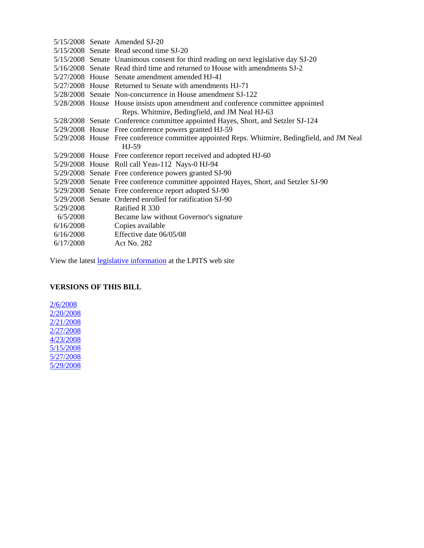|           | $5/15/2008$ Senate Amended SJ-20                                                             |
|-----------|----------------------------------------------------------------------------------------------|
|           | 5/15/2008 Senate Read second time SJ-20                                                      |
|           | 5/15/2008 Senate Unanimous consent for third reading on next legislative day SJ-20           |
|           | 5/16/2008 Senate Read third time and returned to House with amendments SJ-2                  |
|           | 5/27/2008 House Senate amendment amended HJ-41                                               |
|           | 5/27/2008 House Returned to Senate with amendments HJ-71                                     |
|           | 5/28/2008 Senate Non-concurrence in House amendment SJ-122                                   |
|           | 5/28/2008 House House insists upon amendment and conference committee appointed              |
|           | Reps. Whitmire, Bedingfield, and JM Neal HJ-63                                               |
|           | 5/28/2008 Senate Conference committee appointed Hayes, Short, and Setzler SJ-124             |
|           | 5/29/2008 House Free conference powers granted HJ-59                                         |
|           | 5/29/2008 House Free conference committee appointed Reps. Whitmire, Bedingfield, and JM Neal |
|           | $HJ-59$                                                                                      |
|           | 5/29/2008 House Free conference report received and adopted HJ-60                            |
|           | 5/29/2008 House Roll call Yeas-112 Nays-0 HJ-94                                              |
|           | 5/29/2008 Senate Free conference powers granted SJ-90                                        |
|           | 5/29/2008 Senate Free conference committee appointed Hayes, Short, and Setzler SJ-90         |
|           | 5/29/2008 Senate Free conference report adopted SJ-90                                        |
|           | 5/29/2008 Senate Ordered enrolled for ratification SJ-90                                     |
| 5/29/2008 | Ratified R 330                                                                               |
| 6/5/2008  | Became law without Governor's signature                                                      |
| 6/16/2008 | Copies available                                                                             |
| 6/16/2008 | Effective date 06/05/08                                                                      |
| 6/17/2008 | Act No. 282                                                                                  |

View the latest [legislative information](http://www.scstatehouse.net/cgi-bin/web_bh10.exe?bill1=4662&session=117) at the LPITS web site

# **VERSIONS OF THIS BILL**

[2/6/2008](http://www.scstatehouse.net/sess117_2007-2008/pprever/2007-08/4662_20080206.doc) [2/20/2008](http://www.scstatehouse.net/sess117_2007-2008/pprever/2007-08/4662_20080220.doc) [2/21/2008](http://www.scstatehouse.net/sess117_2007-2008/pprever/2007-08/4662_20080221.doc) [2/27/2008](http://www.scstatehouse.net/sess117_2007-2008/pprever/2007-08/4662_20080227.doc) [4/23/2008](http://www.scstatehouse.net/sess117_2007-2008/pprever/2007-08/4662_20080423.doc) [5/15/2008](http://www.scstatehouse.net/sess117_2007-2008/pprever/2007-08/4662_20080515.doc) [5/27/2008](http://www.scstatehouse.net/sess117_2007-2008/pprever/2007-08/4662_20080527.doc)  $\frac{5}{2}/29/2008$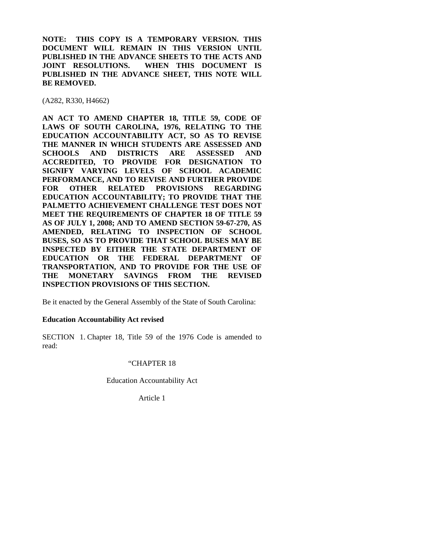**NOTE: THIS COPY IS A TEMPORARY VERSION. THIS DOCUMENT WILL REMAIN IN THIS VERSION UNTIL PUBLISHED IN THE ADVANCE SHEETS TO THE ACTS AND JOINT RESOLUTIONS. WHEN THIS DOCUMENT IS PUBLISHED IN THE ADVANCE SHEET, THIS NOTE WILL BE REMOVED.** 

(A282, R330, H4662)

**AN ACT TO AMEND CHAPTER 18, TITLE 59, CODE OF LAWS OF SOUTH CAROLINA, 1976, RELATING TO THE EDUCATION ACCOUNTABILITY ACT, SO AS TO REVISE THE MANNER IN WHICH STUDENTS ARE ASSESSED AND SCHOOLS AND DISTRICTS ARE ASSESSED AND ACCREDITED, TO PROVIDE FOR DESIGNATION TO SIGNIFY VARYING LEVELS OF SCHOOL ACADEMIC PERFORMANCE, AND TO REVISE AND FURTHER PROVIDE FOR OTHER RELATED PROVISIONS REGARDING EDUCATION ACCOUNTABILITY; TO PROVIDE THAT THE PALMETTO ACHIEVEMENT CHALLENGE TEST DOES NOT MEET THE REQUIREMENTS OF CHAPTER 18 OF TITLE 59 AS OF JULY 1, 2008; AND TO AMEND SECTION 59-67-270, AS AMENDED, RELATING TO INSPECTION OF SCHOOL BUSES, SO AS TO PROVIDE THAT SCHOOL BUSES MAY BE INSPECTED BY EITHER THE STATE DEPARTMENT OF EDUCATION OR THE FEDERAL DEPARTMENT OF TRANSPORTATION, AND TO PROVIDE FOR THE USE OF THE MONETARY SAVINGS FROM THE REVISED INSPECTION PROVISIONS OF THIS SECTION.** 

Be it enacted by the General Assembly of the State of South Carolina:

## **Education Accountability Act revised**

SECTION 1. Chapter 18, Title 59 of the 1976 Code is amended to read:

## "CHAPTER 18

Education Accountability Act

Article 1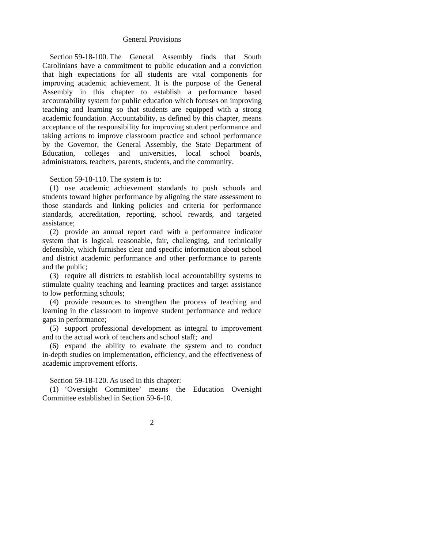## General Provisions

 Section 59-18-100. The General Assembly finds that South Carolinians have a commitment to public education and a conviction that high expectations for all students are vital components for improving academic achievement. It is the purpose of the General Assembly in this chapter to establish a performance based accountability system for public education which focuses on improving teaching and learning so that students are equipped with a strong academic foundation. Accountability, as defined by this chapter, means acceptance of the responsibility for improving student performance and taking actions to improve classroom practice and school performance by the Governor, the General Assembly, the State Department of Education, colleges and universities, local school boards, administrators, teachers, parents, students, and the community.

Section 59-18-110. The system is to:

 (1) use academic achievement standards to push schools and students toward higher performance by aligning the state assessment to those standards and linking policies and criteria for performance standards, accreditation, reporting, school rewards, and targeted assistance;

 (2) provide an annual report card with a performance indicator system that is logical, reasonable, fair, challenging, and technically defensible, which furnishes clear and specific information about school and district academic performance and other performance to parents and the public;

 (3) require all districts to establish local accountability systems to stimulate quality teaching and learning practices and target assistance to low performing schools;

 (4) provide resources to strengthen the process of teaching and learning in the classroom to improve student performance and reduce gaps in performance;

 (5) support professional development as integral to improvement and to the actual work of teachers and school staff; and

 (6) expand the ability to evaluate the system and to conduct in-depth studies on implementation, efficiency, and the effectiveness of academic improvement efforts.

Section 59-18-120. As used in this chapter:

 (1) 'Oversight Committee' means the Education Oversight Committee established in Section 59-6-10.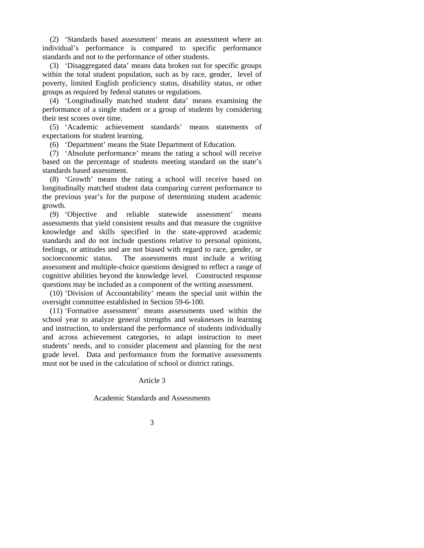(2) 'Standards based assessment' means an assessment where an individual's performance is compared to specific performance standards and not to the performance of other students.

 (3) 'Disaggregated data' means data broken out for specific groups within the total student population, such as by race, gender, level of poverty, limited English proficiency status, disability status, or other groups as required by federal statutes or regulations.

 (4) 'Longitudinally matched student data' means examining the performance of a single student or a group of students by considering their test scores over time.

 (5) 'Academic achievement standards' means statements of expectations for student learning.

(6) 'Department' means the State Department of Education.

 (7) 'Absolute performance' means the rating a school will receive based on the percentage of students meeting standard on the state's standards based assessment.

 (8) 'Growth' means the rating a school will receive based on longitudinally matched student data comparing current performance to the previous year's for the purpose of determining student academic growth.

 (9) 'Objective and reliable statewide assessment' means assessments that yield consistent results and that measure the cognitive knowledge and skills specified in the state-approved academic standards and do not include questions relative to personal opinions, feelings, or attitudes and are not biased with regard to race, gender, or socioeconomic status. The assessments must include a writing assessment and multiple-choice questions designed to reflect a range of cognitive abilities beyond the knowledge level. Constructed response questions may be included as a component of the writing assessment.

 (10) 'Division of Accountability' means the special unit within the oversight committee established in Section 59-6-100.

 (11) 'Formative assessment' means assessments used within the school year to analyze general strengths and weaknesses in learning and instruction, to understand the performance of students individually and across achievement categories, to adapt instruction to meet students' needs, and to consider placement and planning for the next grade level. Data and performance from the formative assessments must not be used in the calculation of school or district ratings.

Article 3

Academic Standards and Assessments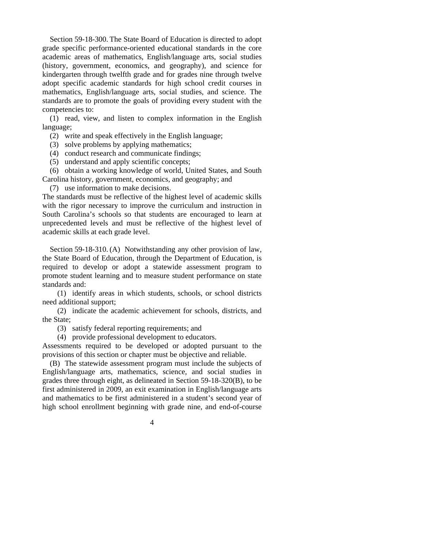Section 59-18-300. The State Board of Education is directed to adopt grade specific performance-oriented educational standards in the core academic areas of mathematics, English/language arts, social studies (history, government, economics, and geography), and science for kindergarten through twelfth grade and for grades nine through twelve adopt specific academic standards for high school credit courses in mathematics, English/language arts, social studies, and science. The standards are to promote the goals of providing every student with the competencies to:

 (1) read, view, and listen to complex information in the English language;

(2) write and speak effectively in the English language;

- (3) solve problems by applying mathematics;
- (4) conduct research and communicate findings;
- (5) understand and apply scientific concepts;

 (6) obtain a working knowledge of world, United States, and South Carolina history, government, economics, and geography; and

(7) use information to make decisions.

The standards must be reflective of the highest level of academic skills with the rigor necessary to improve the curriculum and instruction in South Carolina's schools so that students are encouraged to learn at unprecedented levels and must be reflective of the highest level of academic skills at each grade level.

 Section 59-18-310. (A) Notwithstanding any other provision of law, the State Board of Education, through the Department of Education, is required to develop or adopt a statewide assessment program to promote student learning and to measure student performance on state standards and:

 (1) identify areas in which students, schools, or school districts need additional support;

 (2) indicate the academic achievement for schools, districts, and the State;

(3) satisfy federal reporting requirements; and

(4) provide professional development to educators.

Assessments required to be developed or adopted pursuant to the provisions of this section or chapter must be objective and reliable.

 (B) The statewide assessment program must include the subjects of English/language arts, mathematics, science, and social studies in grades three through eight, as delineated in Section 59-18-320(B), to be first administered in 2009, an exit examination in English/language arts and mathematics to be first administered in a student's second year of high school enrollment beginning with grade nine, and end-of-course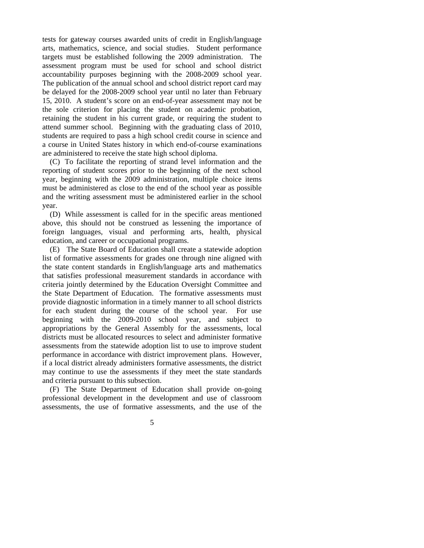tests for gateway courses awarded units of credit in English/language arts, mathematics, science, and social studies. Student performance targets must be established following the 2009 administration. The assessment program must be used for school and school district accountability purposes beginning with the 2008-2009 school year. The publication of the annual school and school district report card may be delayed for the 2008-2009 school year until no later than February 15, 2010. A student's score on an end-of-year assessment may not be the sole criterion for placing the student on academic probation, retaining the student in his current grade, or requiring the student to attend summer school. Beginning with the graduating class of 2010, students are required to pass a high school credit course in science and a course in United States history in which end-of-course examinations are administered to receive the state high school diploma.

 (C) To facilitate the reporting of strand level information and the reporting of student scores prior to the beginning of the next school year, beginning with the 2009 administration, multiple choice items must be administered as close to the end of the school year as possible and the writing assessment must be administered earlier in the school year.

 (D) While assessment is called for in the specific areas mentioned above, this should not be construed as lessening the importance of foreign languages, visual and performing arts, health, physical education, and career or occupational programs.

 (E) The State Board of Education shall create a statewide adoption list of formative assessments for grades one through nine aligned with the state content standards in English/language arts and mathematics that satisfies professional measurement standards in accordance with criteria jointly determined by the Education Oversight Committee and the State Department of Education. The formative assessments must provide diagnostic information in a timely manner to all school districts for each student during the course of the school year. For use beginning with the 2009-2010 school year, and subject to appropriations by the General Assembly for the assessments, local districts must be allocated resources to select and administer formative assessments from the statewide adoption list to use to improve student performance in accordance with district improvement plans. However, if a local district already administers formative assessments, the district may continue to use the assessments if they meet the state standards and criteria pursuant to this subsection.

 (F) The State Department of Education shall provide on-going professional development in the development and use of classroom assessments, the use of formative assessments, and the use of the

 $\sim$  5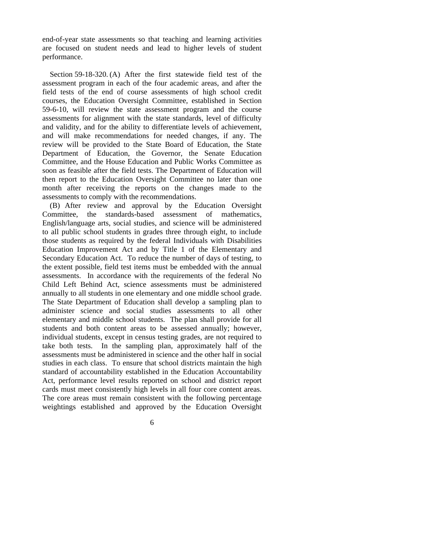end-of-year state assessments so that teaching and learning activities are focused on student needs and lead to higher levels of student performance.

 Section 59-18-320. (A) After the first statewide field test of the assessment program in each of the four academic areas, and after the field tests of the end of course assessments of high school credit courses, the Education Oversight Committee, established in Section 59-6-10, will review the state assessment program and the course assessments for alignment with the state standards, level of difficulty and validity, and for the ability to differentiate levels of achievement, and will make recommendations for needed changes, if any. The review will be provided to the State Board of Education, the State Department of Education, the Governor, the Senate Education Committee, and the House Education and Public Works Committee as soon as feasible after the field tests. The Department of Education will then report to the Education Oversight Committee no later than one month after receiving the reports on the changes made to the assessments to comply with the recommendations.

 (B) After review and approval by the Education Oversight Committee, the standards-based assessment of mathematics, English/language arts, social studies, and science will be administered to all public school students in grades three through eight, to include those students as required by the federal Individuals with Disabilities Education Improvement Act and by Title 1 of the Elementary and Secondary Education Act. To reduce the number of days of testing, to the extent possible, field test items must be embedded with the annual assessments. In accordance with the requirements of the federal No Child Left Behind Act, science assessments must be administered annually to all students in one elementary and one middle school grade. The State Department of Education shall develop a sampling plan to administer science and social studies assessments to all other elementary and middle school students. The plan shall provide for all students and both content areas to be assessed annually; however, individual students, except in census testing grades, are not required to take both tests. In the sampling plan, approximately half of the assessments must be administered in science and the other half in social studies in each class. To ensure that school districts maintain the high standard of accountability established in the Education Accountability Act, performance level results reported on school and district report cards must meet consistently high levels in all four core content areas. The core areas must remain consistent with the following percentage weightings established and approved by the Education Oversight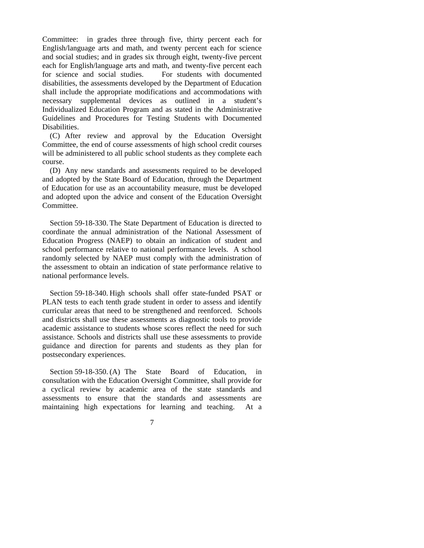Committee: in grades three through five, thirty percent each for English/language arts and math, and twenty percent each for science and social studies; and in grades six through eight, twenty-five percent each for English/language arts and math, and twenty-five percent each for science and social studies. For students with documented disabilities, the assessments developed by the Department of Education shall include the appropriate modifications and accommodations with necessary supplemental devices as outlined in a student's Individualized Education Program and as stated in the Administrative Guidelines and Procedures for Testing Students with Documented Disabilities.

 (C) After review and approval by the Education Oversight Committee, the end of course assessments of high school credit courses will be administered to all public school students as they complete each course.

 (D) Any new standards and assessments required to be developed and adopted by the State Board of Education, through the Department of Education for use as an accountability measure, must be developed and adopted upon the advice and consent of the Education Oversight Committee.

 Section 59-18-330. The State Department of Education is directed to coordinate the annual administration of the National Assessment of Education Progress (NAEP) to obtain an indication of student and school performance relative to national performance levels. A school randomly selected by NAEP must comply with the administration of the assessment to obtain an indication of state performance relative to national performance levels.

 Section 59-18-340. High schools shall offer state-funded PSAT or PLAN tests to each tenth grade student in order to assess and identify curricular areas that need to be strengthened and reenforced. Schools and districts shall use these assessments as diagnostic tools to provide academic assistance to students whose scores reflect the need for such assistance. Schools and districts shall use these assessments to provide guidance and direction for parents and students as they plan for postsecondary experiences.

 Section 59-18-350. (A) The State Board of Education, in consultation with the Education Oversight Committee, shall provide for a cyclical review by academic area of the state standards and assessments to ensure that the standards and assessments are maintaining high expectations for learning and teaching. At a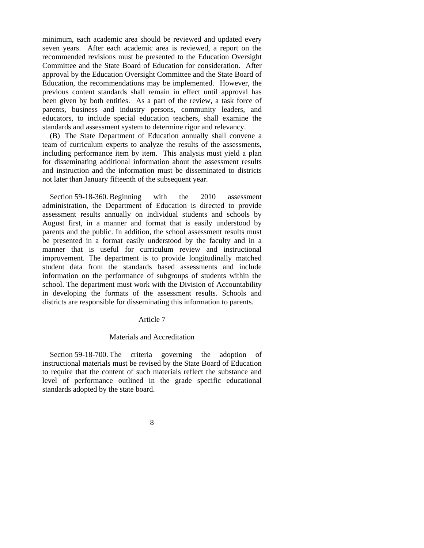minimum, each academic area should be reviewed and updated every seven years. After each academic area is reviewed, a report on the recommended revisions must be presented to the Education Oversight Committee and the State Board of Education for consideration. After approval by the Education Oversight Committee and the State Board of Education, the recommendations may be implemented. However, the previous content standards shall remain in effect until approval has been given by both entities. As a part of the review, a task force of parents, business and industry persons, community leaders, and educators, to include special education teachers, shall examine the standards and assessment system to determine rigor and relevancy.

 (B) The State Department of Education annually shall convene a team of curriculum experts to analyze the results of the assessments, including performance item by item. This analysis must yield a plan for disseminating additional information about the assessment results and instruction and the information must be disseminated to districts not later than January fifteenth of the subsequent year.

 Section 59-18-360. Beginning with the 2010 assessment administration, the Department of Education is directed to provide assessment results annually on individual students and schools by August first, in a manner and format that is easily understood by parents and the public. In addition, the school assessment results must be presented in a format easily understood by the faculty and in a manner that is useful for curriculum review and instructional improvement. The department is to provide longitudinally matched student data from the standards based assessments and include information on the performance of subgroups of students within the school. The department must work with the Division of Accountability in developing the formats of the assessment results. Schools and districts are responsible for disseminating this information to parents.

#### Article 7

#### Materials and Accreditation

 Section 59-18-700. The criteria governing the adoption of instructional materials must be revised by the State Board of Education to require that the content of such materials reflect the substance and level of performance outlined in the grade specific educational standards adopted by the state board.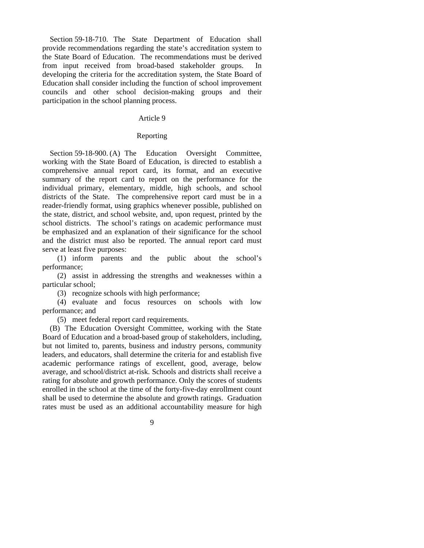Section 59-18-710. The State Department of Education shall provide recommendations regarding the state's accreditation system to the State Board of Education. The recommendations must be derived from input received from broad-based stakeholder groups. developing the criteria for the accreditation system, the State Board of Education shall consider including the function of school improvement councils and other school decision-making groups and their participation in the school planning process.

## Article 9

#### Reporting

Section 59-18-900. (A) The Education Oversight Committee, working with the State Board of Education, is directed to establish a comprehensive annual report card, its format, and an executive summary of the report card to report on the performance for the individual primary, elementary, middle, high schools, and school districts of the State. The comprehensive report card must be in a reader-friendly format, using graphics whenever possible, published on the state, district, and school website, and, upon request, printed by the school districts. The school's ratings on academic performance must be emphasized and an explanation of their significance for the school and the district must also be reported. The annual report card must serve at least five purposes:

 (1) inform parents and the public about the school's performance;

 (2) assist in addressing the strengths and weaknesses within a particular school;

(3) recognize schools with high performance;

 (4) evaluate and focus resources on schools with low performance; and

(5) meet federal report card requirements.

 (B) The Education Oversight Committee, working with the State Board of Education and a broad-based group of stakeholders, including, but not limited to, parents, business and industry persons, community leaders, and educators, shall determine the criteria for and establish five academic performance ratings of excellent, good, average, below average, and school/district at-risk. Schools and districts shall receive a rating for absolute and growth performance. Only the scores of students enrolled in the school at the time of the forty-five-day enrollment count shall be used to determine the absolute and growth ratings. Graduation rates must be used as an additional accountability measure for high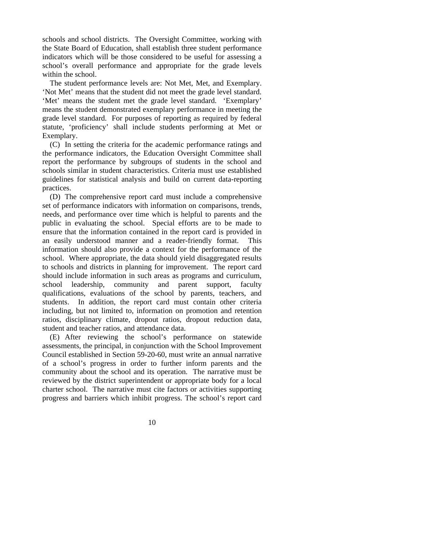schools and school districts. The Oversight Committee, working with the State Board of Education, shall establish three student performance indicators which will be those considered to be useful for assessing a school's overall performance and appropriate for the grade levels within the school.

 The student performance levels are: Not Met, Met, and Exemplary. 'Not Met' means that the student did not meet the grade level standard. 'Met' means the student met the grade level standard. 'Exemplary' means the student demonstrated exemplary performance in meeting the grade level standard. For purposes of reporting as required by federal statute, 'proficiency' shall include students performing at Met or Exemplary.

 (C) In setting the criteria for the academic performance ratings and the performance indicators, the Education Oversight Committee shall report the performance by subgroups of students in the school and schools similar in student characteristics. Criteria must use established guidelines for statistical analysis and build on current data-reporting practices.

 (D) The comprehensive report card must include a comprehensive set of performance indicators with information on comparisons, trends, needs, and performance over time which is helpful to parents and the public in evaluating the school. Special efforts are to be made to ensure that the information contained in the report card is provided in an easily understood manner and a reader-friendly format. This information should also provide a context for the performance of the school. Where appropriate, the data should yield disaggregated results to schools and districts in planning for improvement. The report card should include information in such areas as programs and curriculum, school leadership, community and parent support, faculty qualifications, evaluations of the school by parents, teachers, and students. In addition, the report card must contain other criteria including, but not limited to, information on promotion and retention ratios, disciplinary climate, dropout ratios, dropout reduction data, student and teacher ratios, and attendance data.

 (E) After reviewing the school's performance on statewide assessments, the principal, in conjunction with the School Improvement Council established in Section 59-20-60, must write an annual narrative of a school's progress in order to further inform parents and the community about the school and its operation. The narrative must be reviewed by the district superintendent or appropriate body for a local charter school. The narrative must cite factors or activities supporting progress and barriers which inhibit progress. The school's report card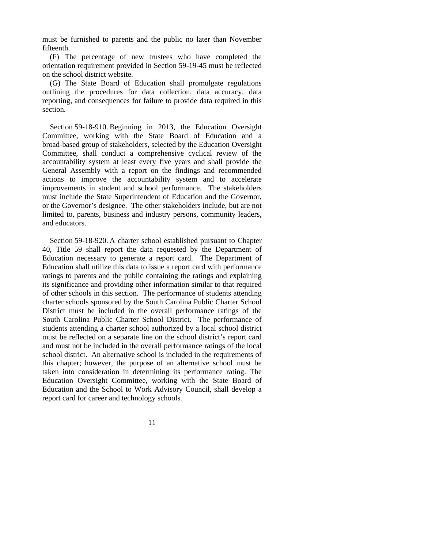must be furnished to parents and the public no later than November fifteenth.

 (F) The percentage of new trustees who have completed the orientation requirement provided in Section 59-19-45 must be reflected on the school district website.

 (G) The State Board of Education shall promulgate regulations outlining the procedures for data collection, data accuracy, data reporting, and consequences for failure to provide data required in this section.

 Section 59-18-910. Beginning in 2013, the Education Oversight Committee, working with the State Board of Education and a broad-based group of stakeholders, selected by the Education Oversight Committee, shall conduct a comprehensive cyclical review of the accountability system at least every five years and shall provide the General Assembly with a report on the findings and recommended actions to improve the accountability system and to accelerate improvements in student and school performance. The stakeholders must include the State Superintendent of Education and the Governor, or the Governor's designee. The other stakeholders include, but are not limited to, parents, business and industry persons, community leaders, and educators.

 Section 59-18-920. A charter school established pursuant to Chapter 40, Title 59 shall report the data requested by the Department of Education necessary to generate a report card. The Department of Education shall utilize this data to issue a report card with performance ratings to parents and the public containing the ratings and explaining its significance and providing other information similar to that required of other schools in this section. The performance of students attending charter schools sponsored by the South Carolina Public Charter School District must be included in the overall performance ratings of the South Carolina Public Charter School District. The performance of students attending a charter school authorized by a local school district must be reflected on a separate line on the school district's report card and must not be included in the overall performance ratings of the local school district. An alternative school is included in the requirements of this chapter; however, the purpose of an alternative school must be taken into consideration in determining its performance rating. The Education Oversight Committee, working with the State Board of Education and the School to Work Advisory Council, shall develop a report card for career and technology schools.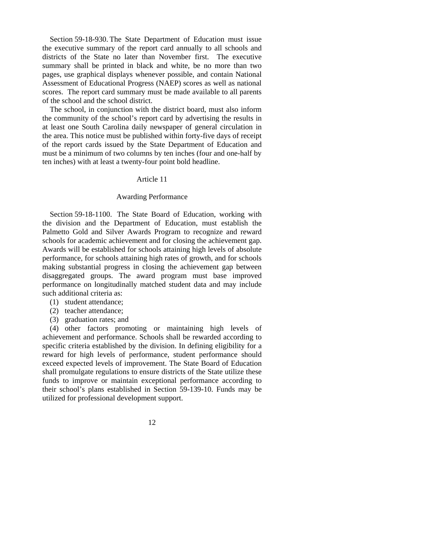Section 59-18-930. The State Department of Education must issue the executive summary of the report card annually to all schools and districts of the State no later than November first. The executive summary shall be printed in black and white, be no more than two pages, use graphical displays whenever possible, and contain National Assessment of Educational Progress (NAEP) scores as well as national scores. The report card summary must be made available to all parents of the school and the school district.

 The school, in conjunction with the district board, must also inform the community of the school's report card by advertising the results in at least one South Carolina daily newspaper of general circulation in the area. This notice must be published within forty-five days of receipt of the report cards issued by the State Department of Education and must be a minimum of two columns by ten inches (four and one-half by ten inches) with at least a twenty-four point bold headline.

## Article 11

#### Awarding Performance

 Section 59-18-1100. The State Board of Education, working with the division and the Department of Education, must establish the Palmetto Gold and Silver Awards Program to recognize and reward schools for academic achievement and for closing the achievement gap. Awards will be established for schools attaining high levels of absolute performance, for schools attaining high rates of growth, and for schools making substantial progress in closing the achievement gap between disaggregated groups. The award program must base improved performance on longitudinally matched student data and may include such additional criteria as:

- (1) student attendance;
- (2) teacher attendance;
- (3) graduation rates; and

 (4) other factors promoting or maintaining high levels of achievement and performance. Schools shall be rewarded according to specific criteria established by the division. In defining eligibility for a reward for high levels of performance, student performance should exceed expected levels of improvement. The State Board of Education shall promulgate regulations to ensure districts of the State utilize these funds to improve or maintain exceptional performance according to their school's plans established in Section 59-139-10. Funds may be utilized for professional development support.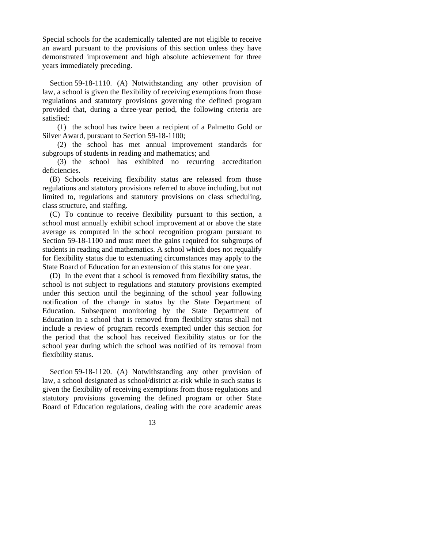Special schools for the academically talented are not eligible to receive an award pursuant to the provisions of this section unless they have demonstrated improvement and high absolute achievement for three years immediately preceding.

 Section 59-18-1110. (A) Notwithstanding any other provision of law, a school is given the flexibility of receiving exemptions from those regulations and statutory provisions governing the defined program provided that, during a three-year period, the following criteria are satisfied:

 (1) the school has twice been a recipient of a Palmetto Gold or Silver Award, pursuant to Section 59-18-1100;

 (2) the school has met annual improvement standards for subgroups of students in reading and mathematics; and

 (3) the school has exhibited no recurring accreditation deficiencies.

 (B) Schools receiving flexibility status are released from those regulations and statutory provisions referred to above including, but not limited to, regulations and statutory provisions on class scheduling, class structure, and staffing.

 (C) To continue to receive flexibility pursuant to this section, a school must annually exhibit school improvement at or above the state average as computed in the school recognition program pursuant to Section 59-18-1100 and must meet the gains required for subgroups of students in reading and mathematics. A school which does not requalify for flexibility status due to extenuating circumstances may apply to the State Board of Education for an extension of this status for one year.

 (D) In the event that a school is removed from flexibility status, the school is not subject to regulations and statutory provisions exempted under this section until the beginning of the school year following notification of the change in status by the State Department of Education. Subsequent monitoring by the State Department of Education in a school that is removed from flexibility status shall not include a review of program records exempted under this section for the period that the school has received flexibility status or for the school year during which the school was notified of its removal from flexibility status.

 Section 59-18-1120. (A) Notwithstanding any other provision of law, a school designated as school/district at-risk while in such status is given the flexibility of receiving exemptions from those regulations and statutory provisions governing the defined program or other State Board of Education regulations, dealing with the core academic areas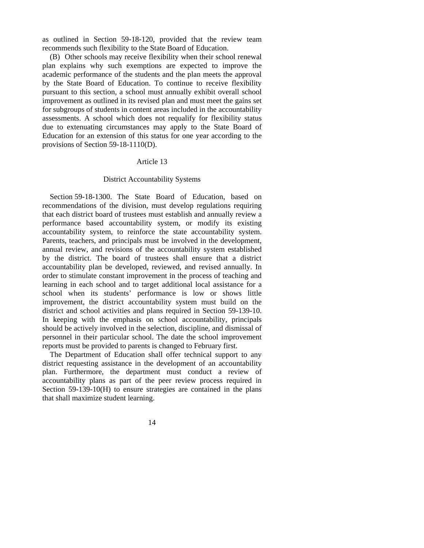as outlined in Section 59-18-120, provided that the review team recommends such flexibility to the State Board of Education.

 (B) Other schools may receive flexibility when their school renewal plan explains why such exemptions are expected to improve the academic performance of the students and the plan meets the approval by the State Board of Education. To continue to receive flexibility pursuant to this section, a school must annually exhibit overall school improvement as outlined in its revised plan and must meet the gains set for subgroups of students in content areas included in the accountability assessments. A school which does not requalify for flexibility status due to extenuating circumstances may apply to the State Board of Education for an extension of this status for one year according to the provisions of Section 59-18-1110(D).

#### Article 13

#### District Accountability Systems

 Section 59-18-1300. The State Board of Education, based on recommendations of the division, must develop regulations requiring that each district board of trustees must establish and annually review a performance based accountability system, or modify its existing accountability system, to reinforce the state accountability system. Parents, teachers, and principals must be involved in the development, annual review, and revisions of the accountability system established by the district. The board of trustees shall ensure that a district accountability plan be developed, reviewed, and revised annually. In order to stimulate constant improvement in the process of teaching and learning in each school and to target additional local assistance for a school when its students' performance is low or shows little improvement, the district accountability system must build on the district and school activities and plans required in Section 59-139-10. In keeping with the emphasis on school accountability, principals should be actively involved in the selection, discipline, and dismissal of personnel in their particular school. The date the school improvement reports must be provided to parents is changed to February first.

 The Department of Education shall offer technical support to any district requesting assistance in the development of an accountability plan. Furthermore, the department must conduct a review of accountability plans as part of the peer review process required in Section 59-139-10(H) to ensure strategies are contained in the plans that shall maximize student learning.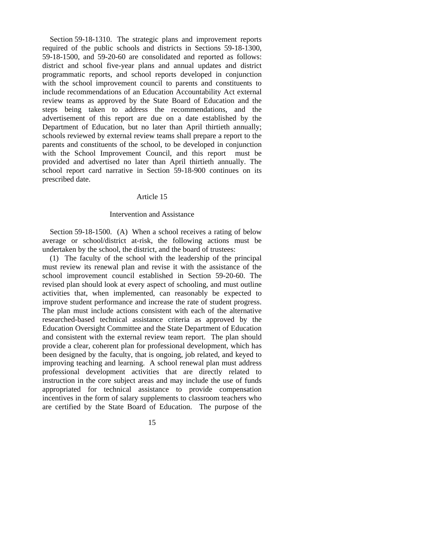Section 59-18-1310. The strategic plans and improvement reports required of the public schools and districts in Sections 59-18-1300, 59-18-1500, and 59-20-60 are consolidated and reported as follows: district and school five-year plans and annual updates and district programmatic reports, and school reports developed in conjunction with the school improvement council to parents and constituents to include recommendations of an Education Accountability Act external review teams as approved by the State Board of Education and the steps being taken to address the recommendations, and the advertisement of this report are due on a date established by the Department of Education, but no later than April thirtieth annually; schools reviewed by external review teams shall prepare a report to the parents and constituents of the school, to be developed in conjunction with the School Improvement Council, and this report must be provided and advertised no later than April thirtieth annually. The school report card narrative in Section 59-18-900 continues on its prescribed date.

#### Article 15

#### Intervention and Assistance

 Section 59-18-1500. (A) When a school receives a rating of below average or school/district at-risk, the following actions must be undertaken by the school, the district, and the board of trustees:

 (1) The faculty of the school with the leadership of the principal must review its renewal plan and revise it with the assistance of the school improvement council established in Section 59-20-60. The revised plan should look at every aspect of schooling, and must outline activities that, when implemented, can reasonably be expected to improve student performance and increase the rate of student progress. The plan must include actions consistent with each of the alternative researched-based technical assistance criteria as approved by the Education Oversight Committee and the State Department of Education and consistent with the external review team report. The plan should provide a clear, coherent plan for professional development, which has been designed by the faculty, that is ongoing, job related, and keyed to improving teaching and learning. A school renewal plan must address professional development activities that are directly related to instruction in the core subject areas and may include the use of funds appropriated for technical assistance to provide compensation incentives in the form of salary supplements to classroom teachers who are certified by the State Board of Education. The purpose of the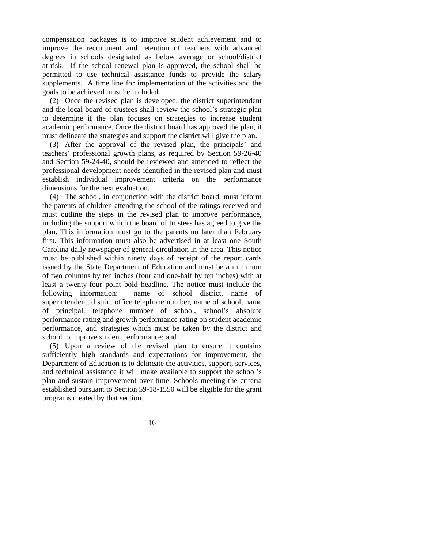compensation packages is to improve student achievement and to improve the recruitment and retention of teachers with advanced degrees in schools designated as below average or school/district at-risk. If the school renewal plan is approved, the school shall be permitted to use technical assistance funds to provide the salary supplements. A time line for implementation of the activities and the goals to be achieved must be included.

 (2) Once the revised plan is developed, the district superintendent and the local board of trustees shall review the school's strategic plan to determine if the plan focuses on strategies to increase student academic performance. Once the district board has approved the plan, it must delineate the strategies and support the district will give the plan.

 (3) After the approval of the revised plan, the principals' and teachers' professional growth plans, as required by Section 59-26-40 and Section 59-24-40, should be reviewed and amended to reflect the professional development needs identified in the revised plan and must establish individual improvement criteria on the performance dimensions for the next evaluation.

 (4) The school, in conjunction with the district board, must inform the parents of children attending the school of the ratings received and must outline the steps in the revised plan to improve performance, including the support which the board of trustees has agreed to give the plan. This information must go to the parents no later than February first. This information must also be advertised in at least one South Carolina daily newspaper of general circulation in the area. This notice must be published within ninety days of receipt of the report cards issued by the State Department of Education and must be a minimum of two columns by ten inches (four and one-half by ten inches) with at least a twenty-four point bold headline. The notice must include the following information: name of school district, name of superintendent, district office telephone number, name of school, name of principal, telephone number of school, school's absolute performance rating and growth performance rating on student academic performance, and strategies which must be taken by the district and school to improve student performance; and

 (5) Upon a review of the revised plan to ensure it contains sufficiently high standards and expectations for improvement, the Department of Education is to delineate the activities, support, services, and technical assistance it will make available to support the school's plan and sustain improvement over time. Schools meeting the criteria established pursuant to Section 59-18-1550 will be eligible for the grant programs created by that section.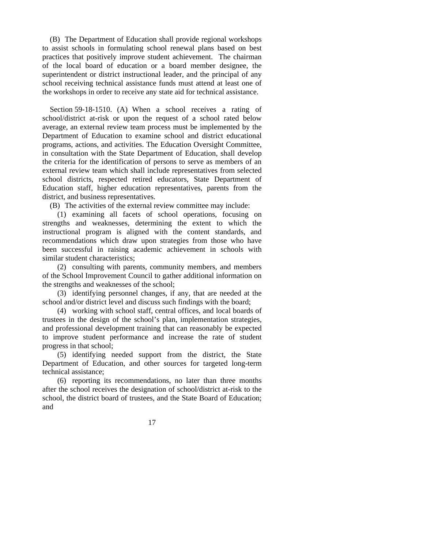(B) The Department of Education shall provide regional workshops to assist schools in formulating school renewal plans based on best practices that positively improve student achievement. The chairman of the local board of education or a board member designee, the superintendent or district instructional leader, and the principal of any school receiving technical assistance funds must attend at least one of the workshops in order to receive any state aid for technical assistance.

 Section 59-18-1510. (A) When a school receives a rating of school/district at-risk or upon the request of a school rated below average, an external review team process must be implemented by the Department of Education to examine school and district educational programs, actions, and activities. The Education Oversight Committee, in consultation with the State Department of Education, shall develop the criteria for the identification of persons to serve as members of an external review team which shall include representatives from selected school districts, respected retired educators, State Department of Education staff, higher education representatives, parents from the district, and business representatives.

(B) The activities of the external review committee may include:

 (1) examining all facets of school operations, focusing on strengths and weaknesses, determining the extent to which the instructional program is aligned with the content standards, and recommendations which draw upon strategies from those who have been successful in raising academic achievement in schools with similar student characteristics;

 (2) consulting with parents, community members, and members of the School Improvement Council to gather additional information on the strengths and weaknesses of the school;

 (3) identifying personnel changes, if any, that are needed at the school and/or district level and discuss such findings with the board;

 (4) working with school staff, central offices, and local boards of trustees in the design of the school's plan, implementation strategies, and professional development training that can reasonably be expected to improve student performance and increase the rate of student progress in that school;

 (5) identifying needed support from the district, the State Department of Education, and other sources for targeted long-term technical assistance;

 (6) reporting its recommendations, no later than three months after the school receives the designation of school/district at-risk to the school, the district board of trustees, and the State Board of Education; and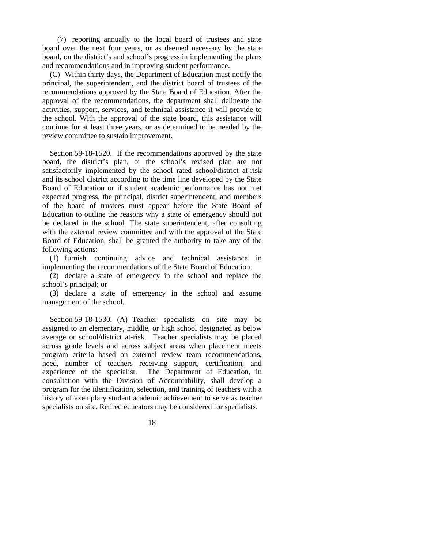(7) reporting annually to the local board of trustees and state board over the next four years, or as deemed necessary by the state board, on the district's and school's progress in implementing the plans and recommendations and in improving student performance.

 (C) Within thirty days, the Department of Education must notify the principal, the superintendent, and the district board of trustees of the recommendations approved by the State Board of Education. After the approval of the recommendations, the department shall delineate the activities, support, services, and technical assistance it will provide to the school. With the approval of the state board, this assistance will continue for at least three years, or as determined to be needed by the review committee to sustain improvement.

 Section 59-18-1520. If the recommendations approved by the state board, the district's plan, or the school's revised plan are not satisfactorily implemented by the school rated school/district at-risk and its school district according to the time line developed by the State Board of Education or if student academic performance has not met expected progress, the principal, district superintendent, and members of the board of trustees must appear before the State Board of Education to outline the reasons why a state of emergency should not be declared in the school. The state superintendent, after consulting with the external review committee and with the approval of the State Board of Education, shall be granted the authority to take any of the following actions:

 (1) furnish continuing advice and technical assistance in implementing the recommendations of the State Board of Education;

 (2) declare a state of emergency in the school and replace the school's principal; or

 (3) declare a state of emergency in the school and assume management of the school.

 Section 59-18-1530. (A) Teacher specialists on site may be assigned to an elementary, middle, or high school designated as below average or school/district at-risk. Teacher specialists may be placed across grade levels and across subject areas when placement meets program criteria based on external review team recommendations, need, number of teachers receiving support, certification, and experience of the specialist. The Department of Education, in consultation with the Division of Accountability, shall develop a program for the identification, selection, and training of teachers with a history of exemplary student academic achievement to serve as teacher specialists on site. Retired educators may be considered for specialists.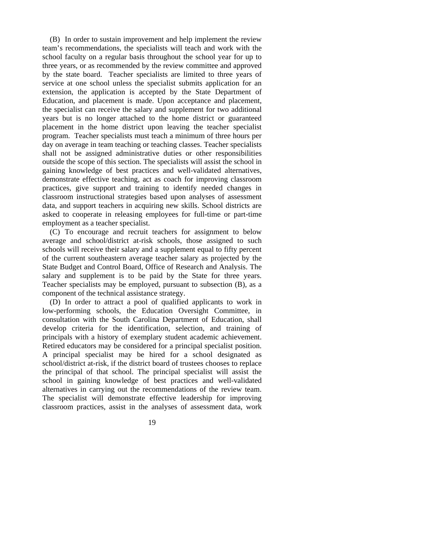(B) In order to sustain improvement and help implement the review team's recommendations, the specialists will teach and work with the school faculty on a regular basis throughout the school year for up to three years, or as recommended by the review committee and approved by the state board. Teacher specialists are limited to three years of service at one school unless the specialist submits application for an extension, the application is accepted by the State Department of Education, and placement is made. Upon acceptance and placement, the specialist can receive the salary and supplement for two additional years but is no longer attached to the home district or guaranteed placement in the home district upon leaving the teacher specialist program. Teacher specialists must teach a minimum of three hours per day on average in team teaching or teaching classes. Teacher specialists shall not be assigned administrative duties or other responsibilities outside the scope of this section. The specialists will assist the school in gaining knowledge of best practices and well-validated alternatives, demonstrate effective teaching, act as coach for improving classroom practices, give support and training to identify needed changes in classroom instructional strategies based upon analyses of assessment data, and support teachers in acquiring new skills. School districts are asked to cooperate in releasing employees for full-time or part-time employment as a teacher specialist.

 (C) To encourage and recruit teachers for assignment to below average and school/district at-risk schools, those assigned to such schools will receive their salary and a supplement equal to fifty percent of the current southeastern average teacher salary as projected by the State Budget and Control Board, Office of Research and Analysis. The salary and supplement is to be paid by the State for three years. Teacher specialists may be employed, pursuant to subsection (B), as a component of the technical assistance strategy.

 (D) In order to attract a pool of qualified applicants to work in low-performing schools, the Education Oversight Committee, in consultation with the South Carolina Department of Education, shall develop criteria for the identification, selection, and training of principals with a history of exemplary student academic achievement. Retired educators may be considered for a principal specialist position. A principal specialist may be hired for a school designated as school/district at-risk, if the district board of trustees chooses to replace the principal of that school. The principal specialist will assist the school in gaining knowledge of best practices and well-validated alternatives in carrying out the recommendations of the review team. The specialist will demonstrate effective leadership for improving classroom practices, assist in the analyses of assessment data, work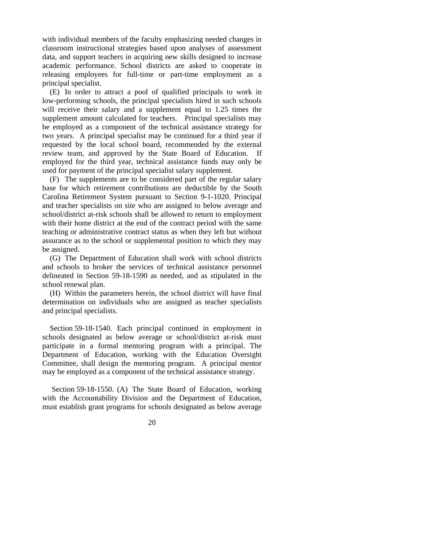with individual members of the faculty emphasizing needed changes in classroom instructional strategies based upon analyses of assessment data, and support teachers in acquiring new skills designed to increase academic performance. School districts are asked to cooperate in releasing employees for full-time or part-time employment as a principal specialist.

 (E) In order to attract a pool of qualified principals to work in low-performing schools, the principal specialists hired in such schools will receive their salary and a supplement equal to 1.25 times the supplement amount calculated for teachers. Principal specialists may be employed as a component of the technical assistance strategy for two years. A principal specialist may be continued for a third year if requested by the local school board, recommended by the external review team, and approved by the State Board of Education. If employed for the third year, technical assistance funds may only be used for payment of the principal specialist salary supplement.

 (F) The supplements are to be considered part of the regular salary base for which retirement contributions are deductible by the South Carolina Retirement System pursuant to Section 9-1-1020. Principal and teacher specialists on site who are assigned to below average and school/district at-risk schools shall be allowed to return to employment with their home district at the end of the contract period with the same teaching or administrative contract status as when they left but without assurance as to the school or supplemental position to which they may be assigned.

 (G) The Department of Education shall work with school districts and schools to broker the services of technical assistance personnel delineated in Section 59-18-1590 as needed, and as stipulated in the school renewal plan.

 (H) Within the parameters herein, the school district will have final determination on individuals who are assigned as teacher specialists and principal specialists.

 Section 59-18-1540. Each principal continued in employment in schools designated as below average or school/district at-risk must participate in a formal mentoring program with a principal. The Department of Education, working with the Education Oversight Committee, shall design the mentoring program. A principal mentor may be employed as a component of the technical assistance strategy.

 Section 59-18-1550. (A) The State Board of Education, working with the Accountability Division and the Department of Education, must establish grant programs for schools designated as below average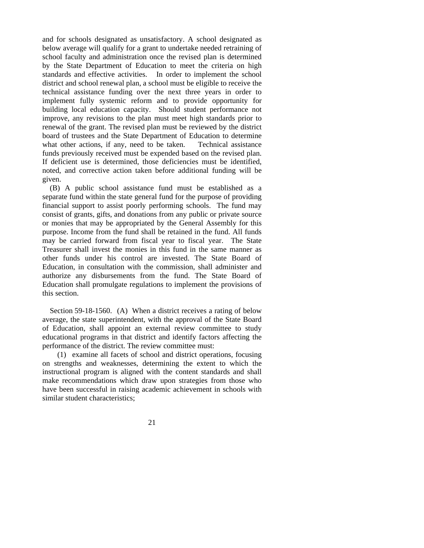and for schools designated as unsatisfactory. A school designated as below average will qualify for a grant to undertake needed retraining of school faculty and administration once the revised plan is determined by the State Department of Education to meet the criteria on high standards and effective activities. In order to implement the school district and school renewal plan, a school must be eligible to receive the technical assistance funding over the next three years in order to implement fully systemic reform and to provide opportunity for building local education capacity. Should student performance not improve, any revisions to the plan must meet high standards prior to renewal of the grant. The revised plan must be reviewed by the district board of trustees and the State Department of Education to determine what other actions, if any, need to be taken. Technical assistance funds previously received must be expended based on the revised plan. If deficient use is determined, those deficiencies must be identified, noted, and corrective action taken before additional funding will be given.

 (B) A public school assistance fund must be established as a separate fund within the state general fund for the purpose of providing financial support to assist poorly performing schools. The fund may consist of grants, gifts, and donations from any public or private source or monies that may be appropriated by the General Assembly for this purpose. Income from the fund shall be retained in the fund. All funds may be carried forward from fiscal year to fiscal year. The State Treasurer shall invest the monies in this fund in the same manner as other funds under his control are invested. The State Board of Education, in consultation with the commission, shall administer and authorize any disbursements from the fund. The State Board of Education shall promulgate regulations to implement the provisions of this section.

 Section 59-18-1560. (A) When a district receives a rating of below average, the state superintendent, with the approval of the State Board of Education, shall appoint an external review committee to study educational programs in that district and identify factors affecting the performance of the district. The review committee must:

 (1) examine all facets of school and district operations, focusing on strengths and weaknesses, determining the extent to which the instructional program is aligned with the content standards and shall make recommendations which draw upon strategies from those who have been successful in raising academic achievement in schools with similar student characteristics;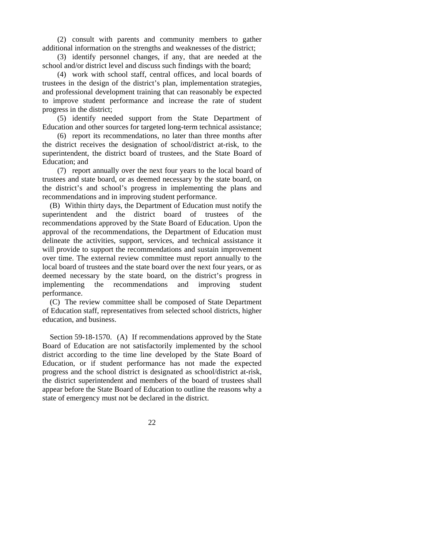(2) consult with parents and community members to gather additional information on the strengths and weaknesses of the district;

 (3) identify personnel changes, if any, that are needed at the school and/or district level and discuss such findings with the board;

 (4) work with school staff, central offices, and local boards of trustees in the design of the district's plan, implementation strategies, and professional development training that can reasonably be expected to improve student performance and increase the rate of student progress in the district;

 (5) identify needed support from the State Department of Education and other sources for targeted long-term technical assistance;

 (6) report its recommendations, no later than three months after the district receives the designation of school/district at-risk, to the superintendent, the district board of trustees, and the State Board of Education; and

 (7) report annually over the next four years to the local board of trustees and state board, or as deemed necessary by the state board, on the district's and school's progress in implementing the plans and recommendations and in improving student performance.

 (B) Within thirty days, the Department of Education must notify the superintendent and the district board of trustees of the recommendations approved by the State Board of Education. Upon the approval of the recommendations, the Department of Education must delineate the activities, support, services, and technical assistance it will provide to support the recommendations and sustain improvement over time. The external review committee must report annually to the local board of trustees and the state board over the next four years, or as deemed necessary by the state board, on the district's progress in implementing the recommendations and improving student performance.

 (C) The review committee shall be composed of State Department of Education staff, representatives from selected school districts, higher education, and business.

 Section 59-18-1570. (A) If recommendations approved by the State Board of Education are not satisfactorily implemented by the school district according to the time line developed by the State Board of Education, or if student performance has not made the expected progress and the school district is designated as school/district at-risk, the district superintendent and members of the board of trustees shall appear before the State Board of Education to outline the reasons why a state of emergency must not be declared in the district.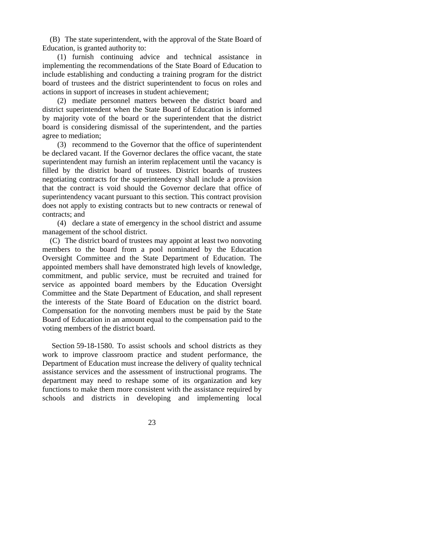(B) The state superintendent, with the approval of the State Board of Education, is granted authority to:

 (1) furnish continuing advice and technical assistance in implementing the recommendations of the State Board of Education to include establishing and conducting a training program for the district board of trustees and the district superintendent to focus on roles and actions in support of increases in student achievement;

 (2) mediate personnel matters between the district board and district superintendent when the State Board of Education is informed by majority vote of the board or the superintendent that the district board is considering dismissal of the superintendent, and the parties agree to mediation;

 (3) recommend to the Governor that the office of superintendent be declared vacant. If the Governor declares the office vacant, the state superintendent may furnish an interim replacement until the vacancy is filled by the district board of trustees. District boards of trustees negotiating contracts for the superintendency shall include a provision that the contract is void should the Governor declare that office of superintendency vacant pursuant to this section. This contract provision does not apply to existing contracts but to new contracts or renewal of contracts; and

 (4) declare a state of emergency in the school district and assume management of the school district.

 (C) The district board of trustees may appoint at least two nonvoting members to the board from a pool nominated by the Education Oversight Committee and the State Department of Education. The appointed members shall have demonstrated high levels of knowledge, commitment, and public service, must be recruited and trained for service as appointed board members by the Education Oversight Committee and the State Department of Education, and shall represent the interests of the State Board of Education on the district board. Compensation for the nonvoting members must be paid by the State Board of Education in an amount equal to the compensation paid to the voting members of the district board.

 Section 59-18-1580. To assist schools and school districts as they work to improve classroom practice and student performance, the Department of Education must increase the delivery of quality technical assistance services and the assessment of instructional programs. The department may need to reshape some of its organization and key functions to make them more consistent with the assistance required by schools and districts in developing and implementing local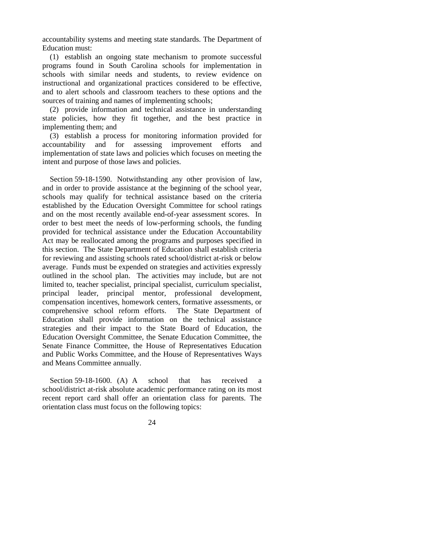accountability systems and meeting state standards. The Department of Education must:

 (1) establish an ongoing state mechanism to promote successful programs found in South Carolina schools for implementation in schools with similar needs and students, to review evidence on instructional and organizational practices considered to be effective, and to alert schools and classroom teachers to these options and the sources of training and names of implementing schools;

 (2) provide information and technical assistance in understanding state policies, how they fit together, and the best practice in implementing them; and

 (3) establish a process for monitoring information provided for accountability and for assessing improvement efforts and implementation of state laws and policies which focuses on meeting the intent and purpose of those laws and policies.

 Section 59-18-1590. Notwithstanding any other provision of law, and in order to provide assistance at the beginning of the school year, schools may qualify for technical assistance based on the criteria established by the Education Oversight Committee for school ratings and on the most recently available end-of-year assessment scores. In order to best meet the needs of low-performing schools, the funding provided for technical assistance under the Education Accountability Act may be reallocated among the programs and purposes specified in this section. The State Department of Education shall establish criteria for reviewing and assisting schools rated school/district at-risk or below average. Funds must be expended on strategies and activities expressly outlined in the school plan. The activities may include, but are not limited to, teacher specialist, principal specialist, curriculum specialist, principal leader, principal mentor, professional development, compensation incentives, homework centers, formative assessments, or comprehensive school reform efforts. The State Department of Education shall provide information on the technical assistance strategies and their impact to the State Board of Education, the Education Oversight Committee, the Senate Education Committee, the Senate Finance Committee, the House of Representatives Education and Public Works Committee, and the House of Representatives Ways and Means Committee annually.

Section 59-18-1600. (A) A school that has received a school/district at-risk absolute academic performance rating on its most recent report card shall offer an orientation class for parents. The orientation class must focus on the following topics: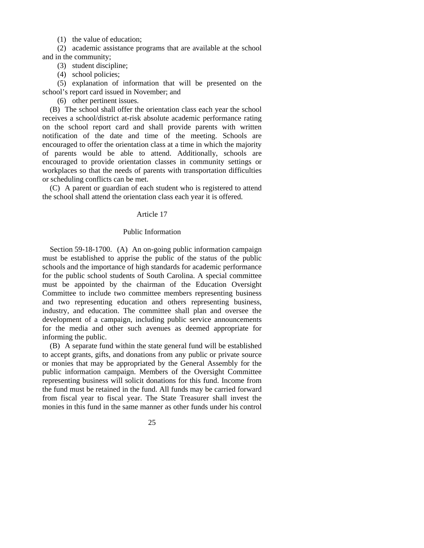(1) the value of education;

 (2) academic assistance programs that are available at the school and in the community;

(3) student discipline;

(4) school policies;

 (5) explanation of information that will be presented on the school's report card issued in November; and

(6) other pertinent issues.

 (B) The school shall offer the orientation class each year the school receives a school/district at-risk absolute academic performance rating on the school report card and shall provide parents with written notification of the date and time of the meeting. Schools are encouraged to offer the orientation class at a time in which the majority of parents would be able to attend. Additionally, schools are encouraged to provide orientation classes in community settings or workplaces so that the needs of parents with transportation difficulties or scheduling conflicts can be met.

 (C) A parent or guardian of each student who is registered to attend the school shall attend the orientation class each year it is offered.

#### Article 17

### Public Information

 Section 59-18-1700. (A) An on-going public information campaign must be established to apprise the public of the status of the public schools and the importance of high standards for academic performance for the public school students of South Carolina. A special committee must be appointed by the chairman of the Education Oversight Committee to include two committee members representing business and two representing education and others representing business, industry, and education. The committee shall plan and oversee the development of a campaign, including public service announcements for the media and other such avenues as deemed appropriate for informing the public.

 (B) A separate fund within the state general fund will be established to accept grants, gifts, and donations from any public or private source or monies that may be appropriated by the General Assembly for the public information campaign. Members of the Oversight Committee representing business will solicit donations for this fund. Income from the fund must be retained in the fund. All funds may be carried forward from fiscal year to fiscal year. The State Treasurer shall invest the monies in this fund in the same manner as other funds under his control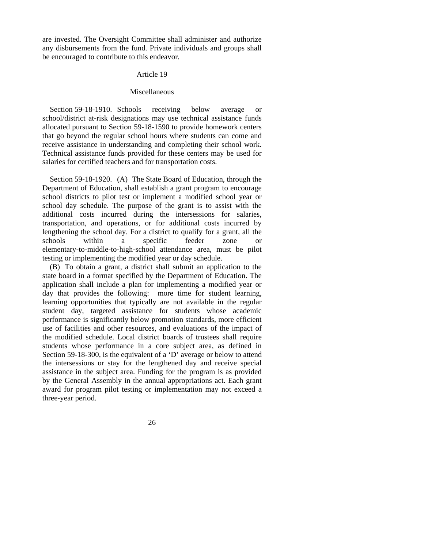are invested. The Oversight Committee shall administer and authorize any disbursements from the fund. Private individuals and groups shall be encouraged to contribute to this endeavor.

## Article 19

#### Miscellaneous

 Section 59-18-1910. Schools receiving below average or school/district at-risk designations may use technical assistance funds allocated pursuant to Section 59-18-1590 to provide homework centers that go beyond the regular school hours where students can come and receive assistance in understanding and completing their school work. Technical assistance funds provided for these centers may be used for salaries for certified teachers and for transportation costs.

 Section 59-18-1920. (A) The State Board of Education, through the Department of Education, shall establish a grant program to encourage school districts to pilot test or implement a modified school year or school day schedule. The purpose of the grant is to assist with the additional costs incurred during the intersessions for salaries, transportation, and operations, or for additional costs incurred by lengthening the school day. For a district to qualify for a grant, all the schools within a specific feeder zone or elementary-to-middle-to-high-school attendance area, must be pilot testing or implementing the modified year or day schedule.

 (B) To obtain a grant, a district shall submit an application to the state board in a format specified by the Department of Education. The application shall include a plan for implementing a modified year or day that provides the following: more time for student learning, learning opportunities that typically are not available in the regular student day, targeted assistance for students whose academic performance is significantly below promotion standards, more efficient use of facilities and other resources, and evaluations of the impact of the modified schedule. Local district boards of trustees shall require students whose performance in a core subject area, as defined in Section 59-18-300, is the equivalent of a 'D' average or below to attend the intersessions or stay for the lengthened day and receive special assistance in the subject area. Funding for the program is as provided by the General Assembly in the annual appropriations act. Each grant award for program pilot testing or implementation may not exceed a three-year period.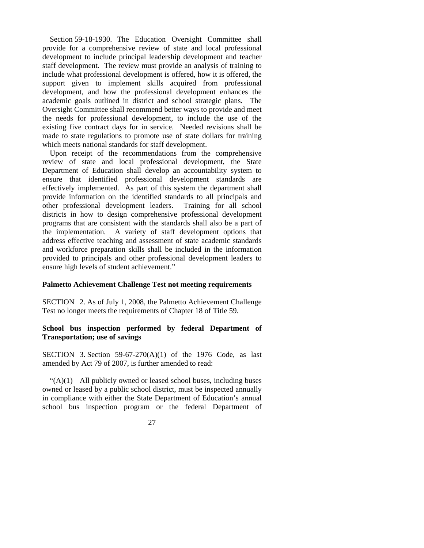Section 59-18-1930. The Education Oversight Committee shall provide for a comprehensive review of state and local professional development to include principal leadership development and teacher staff development. The review must provide an analysis of training to include what professional development is offered, how it is offered, the support given to implement skills acquired from professional development, and how the professional development enhances the academic goals outlined in district and school strategic plans. The Oversight Committee shall recommend better ways to provide and meet the needs for professional development, to include the use of the existing five contract days for in service. Needed revisions shall be made to state regulations to promote use of state dollars for training which meets national standards for staff development.

 Upon receipt of the recommendations from the comprehensive review of state and local professional development, the State Department of Education shall develop an accountability system to ensure that identified professional development standards are effectively implemented. As part of this system the department shall provide information on the identified standards to all principals and other professional development leaders. Training for all school districts in how to design comprehensive professional development programs that are consistent with the standards shall also be a part of the implementation. A variety of staff development options that address effective teaching and assessment of state academic standards and workforce preparation skills shall be included in the information provided to principals and other professional development leaders to ensure high levels of student achievement."

# **Palmetto Achievement Challenge Test not meeting requirements**

SECTION 2. As of July 1, 2008, the Palmetto Achievement Challenge Test no longer meets the requirements of Chapter 18 of Title 59.

# **School bus inspection performed by federal Department of Transportation; use of savings**

SECTION 3. Section  $59-67-270(A)(1)$  of the 1976 Code, as last amended by Act 79 of 2007, is further amended to read:

 $\mathcal{L}(A)(1)$  All publicly owned or leased school buses, including buses owned or leased by a public school district, must be inspected annually in compliance with either the State Department of Education's annual school bus inspection program or the federal Department of